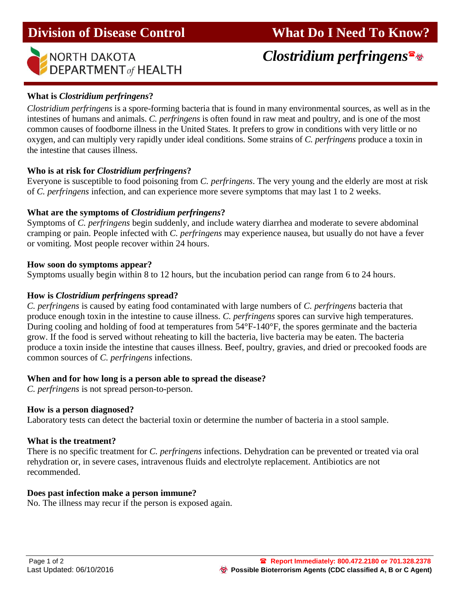

# *Clostridium perfringens*

# **What is** *Clostridium perfringens***?**

*Clostridium perfringens* is a spore-forming bacteria that is found in many environmental sources, as well as in the intestines of humans and animals. *C. perfringens* is often found in raw meat and poultry, and is one of the most common causes of foodborne illness in the United States. It prefers to grow in conditions with very little or no oxygen, and can multiply very rapidly under ideal conditions. Some strains of *C. perfringens* produce a toxin in the intestine that causes illness.

### **Who is at risk for** *Clostridium perfringens***?**

Everyone is susceptible to food poisoning from *C. perfringens*. The very young and the elderly are most at risk of *C. perfringens* infection, and can experience more severe symptoms that may last 1 to 2 weeks.

#### **What are the symptoms of** *Clostridium perfringens***?**

Symptoms of *C. perfringens* begin suddenly, and include watery diarrhea and moderate to severe abdominal cramping or pain. People infected with *C. perfringens* may experience nausea, but usually do not have a fever or vomiting. Most people recover within 24 hours.

#### **How soon do symptoms appear?**

Symptoms usually begin within 8 to 12 hours, but the incubation period can range from 6 to 24 hours.

#### **How is** *Clostridium perfringens* **spread?**

*C. perfringens* is caused by eating food contaminated with large numbers of *C. perfringens* bacteria that produce enough toxin in the intestine to cause illness. *C. perfringens* spores can survive high temperatures. During cooling and holding of food at temperatures from 54°F-140°F, the spores germinate and the bacteria grow. If the food is served without reheating to kill the bacteria, live bacteria may be eaten. The bacteria produce a toxin inside the intestine that causes illness. Beef, poultry, gravies, and dried or precooked foods are common sources of *C. perfringens* infections.

### **When and for how long is a person able to spread the disease?**

*C. perfringens* is not spread person-to-person.

### **How is a person diagnosed?**

Laboratory tests can detect the bacterial toxin or determine the number of bacteria in a stool sample.

### **What is the treatment?**

There is no specific treatment for *C. perfringens* infections. Dehydration can be prevented or treated via oral rehydration or, in severe cases, intravenous fluids and electrolyte replacement. Antibiotics are not recommended.

### **Does past infection make a person immune?**

No. The illness may recur if the person is exposed again.